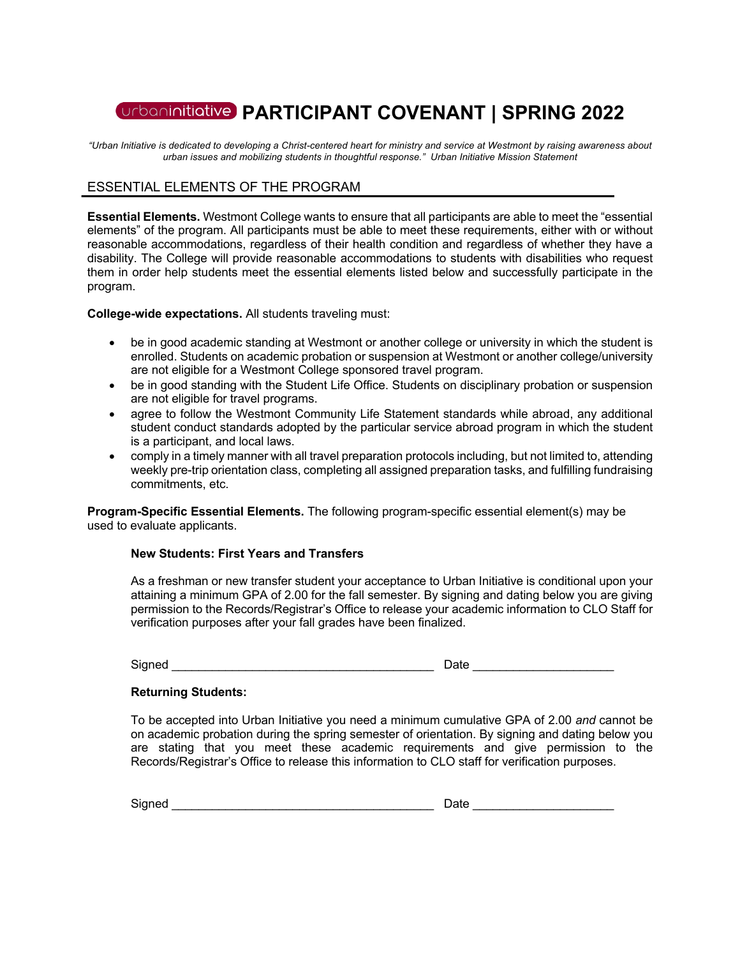# **PARTICIPANT COVENANT | SPRING 2022**

*"Urban Initiative is dedicated to developing a Christ-centered heart for ministry and service at Westmont by raising awareness about urban issues and mobilizing students in thoughtful response." Urban Initiative Mission Statement*

## ESSENTIAL ELEMENTS OF THE PROGRAM

**Essential Elements.** Westmont College wants to ensure that all participants are able to meet the "essential elements" of the program. All participants must be able to meet these requirements, either with or without reasonable accommodations, regardless of their health condition and regardless of whether they have a disability. The College will provide reasonable accommodations to students with disabilities who request them in order help students meet the essential elements listed below and successfully participate in the program.

**College-wide expectations.** All students traveling must:

- be in good academic standing at Westmont or another college or university in which the student is enrolled. Students on academic probation or suspension at Westmont or another college/university are not eligible for a Westmont College sponsored travel program.
- be in good standing with the Student Life Office. Students on disciplinary probation or suspension are not eligible for travel programs.
- agree to follow the Westmont Community Life Statement standards while abroad, any additional student conduct standards adopted by the particular service abroad program in which the student is a participant, and local laws.
- comply in a timely manner with all travel preparation protocols including, but not limited to, attending weekly pre-trip orientation class, completing all assigned preparation tasks, and fulfilling fundraising commitments, etc.

**Program-Specific Essential Elements.** The following program-specific essential element(s) may be used to evaluate applicants.

#### **New Students: First Years and Transfers**

As a freshman or new transfer student your acceptance to Urban Initiative is conditional upon your attaining a minimum GPA of 2.00 for the fall semester. By signing and dating below you are giving permission to the Records/Registrar's Office to release your academic information to CLO Staff for verification purposes after your fall grades have been finalized.

Signed **and a set of the set of the set of the set of the set of the set of the set of the set of the set of the set of the set of the set of the set of the set of the set of the set of the set of the set of the set of the** 

#### **Returning Students:**

To be accepted into Urban Initiative you need a minimum cumulative GPA of 2.00 *and* cannot be on academic probation during the spring semester of orientation. By signing and dating below you are stating that you meet these academic requirements and give permission to the Records/Registrar's Office to release this information to CLO staff for verification purposes.

Signed \_\_\_\_\_\_\_\_\_\_\_\_\_\_\_\_\_\_\_\_\_\_\_\_\_\_\_\_\_\_\_\_\_\_\_\_\_\_\_ Date \_\_\_\_\_\_\_\_\_\_\_\_\_\_\_\_\_\_\_\_\_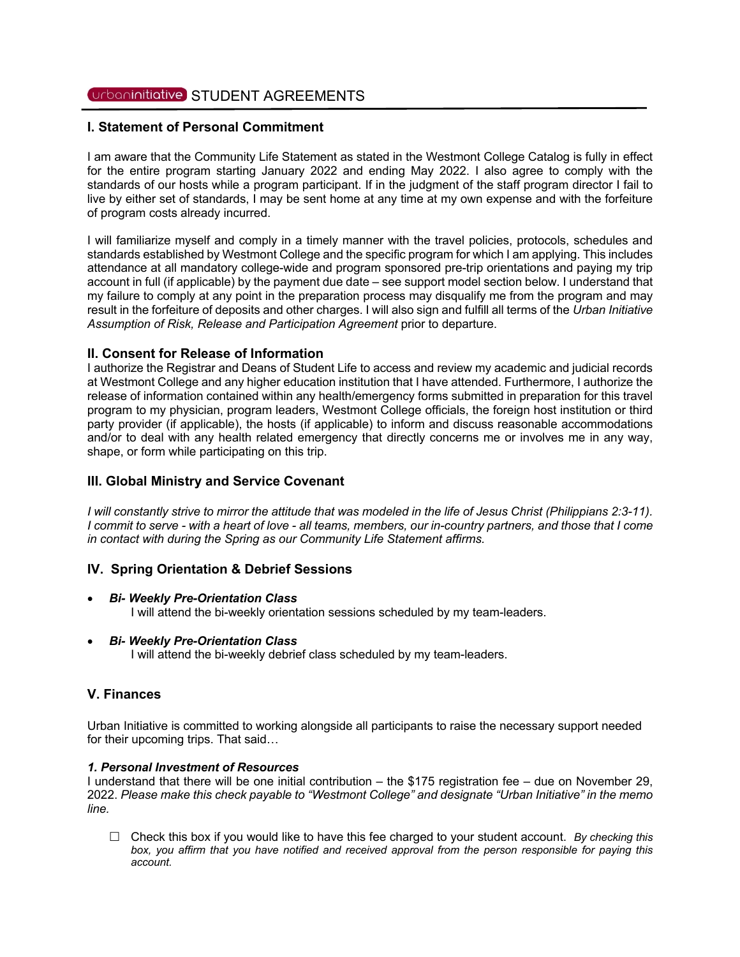## Urbaninitiative STUDENT AGREEMENTS

#### **I. Statement of Personal Commitment**

I am aware that the Community Life Statement as stated in the Westmont College Catalog is fully in effect for the entire program starting January 2022 and ending May 2022. I also agree to comply with the standards of our hosts while a program participant. If in the judgment of the staff program director I fail to live by either set of standards, I may be sent home at any time at my own expense and with the forfeiture of program costs already incurred.

I will familiarize myself and comply in a timely manner with the travel policies, protocols, schedules and standards established by Westmont College and the specific program for which I am applying. This includes attendance at all mandatory college-wide and program sponsored pre-trip orientations and paying my trip account in full (if applicable) by the payment due date – see support model section below. I understand that my failure to comply at any point in the preparation process may disqualify me from the program and may result in the forfeiture of deposits and other charges. I will also sign and fulfill all terms of the *Urban Initiative Assumption of Risk, Release and Participation Agreement* prior to departure.

#### **II. Consent for Release of Information**

I authorize the Registrar and Deans of Student Life to access and review my academic and judicial records at Westmont College and any higher education institution that I have attended. Furthermore, I authorize the release of information contained within any health/emergency forms submitted in preparation for this travel program to my physician, program leaders, Westmont College officials, the foreign host institution or third party provider (if applicable), the hosts (if applicable) to inform and discuss reasonable accommodations and/or to deal with any health related emergency that directly concerns me or involves me in any way, shape, or form while participating on this trip.

## **III. Global Ministry and Service Covenant**

*I* will constantly strive to mirror the attitude that was modeled in the life of Jesus Christ (Philippians 2:3-11). *I commit to serve - with a heart of love - all teams, members, our in-country partners, and those that I come in contact with during the Spring as our Community Life Statement affirms.*

## **IV. Spring Orientation & Debrief Sessions**

#### • *Bi- Weekly Pre-Orientation Class*

I will attend the bi-weekly orientation sessions scheduled by my team-leaders.

#### • *Bi- Weekly Pre-Orientation Class*

I will attend the bi-weekly debrief class scheduled by my team-leaders.

## **V. Finances**

Urban Initiative is committed to working alongside all participants to raise the necessary support needed for their upcoming trips. That said…

#### *1. Personal Investment of Resources*

I understand that there will be one initial contribution – the \$175 registration fee – due on November 29, 2022. *Please make this check payable to "Westmont College" and designate "Urban Initiative" in the memo line.* 

£ Check this box if you would like to have this fee charged to your student account. *By checking this box, you affirm that you have notified and received approval from the person responsible for paying this account.*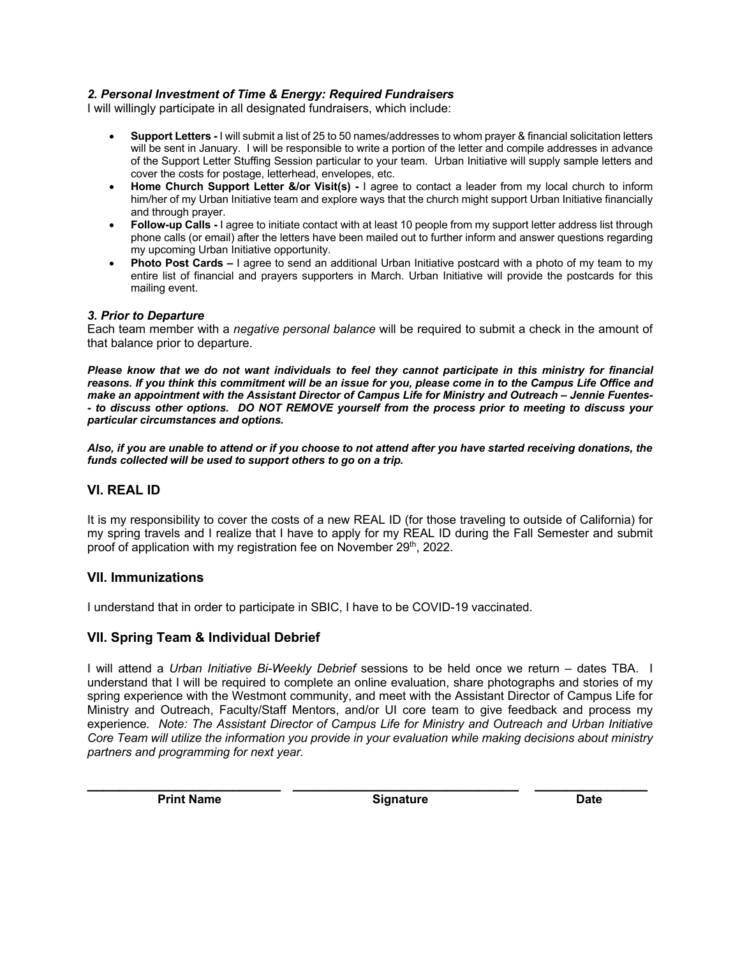## *2. Personal Investment of Time & Energy: Required Fundraisers*

I will willingly participate in all designated fundraisers, which include:

- **Support Letters -** I will submit a list of 25 to 50 names/addresses to whom prayer & financial solicitation letters will be sent in January. I will be responsible to write a portion of the letter and compile addresses in advance of the Support Letter Stuffing Session particular to your team. Urban Initiative will supply sample letters and cover the costs for postage, letterhead, envelopes, etc.
- **Home Church Support Letter &/or Visit(s) -** I agree to contact a leader from my local church to inform him/her of my Urban Initiative team and explore ways that the church might support Urban Initiative financially and through prayer.
- **Follow-up Calls -** I agree to initiate contact with at least 10 people from my support letter address list through phone calls (or email) after the letters have been mailed out to further inform and answer questions regarding my upcoming Urban Initiative opportunity.
- **Photo Post Cards –** I agree to send an additional Urban Initiative postcard with a photo of my team to my entire list of financial and prayers supporters in March. Urban Initiative will provide the postcards for this mailing event.

#### *3. Prior to Departure*

Each team member with a *negative personal balance* will be required to submit a check in the amount of that balance prior to departure.

*Please know that we do not want individuals to feel they cannot participate in this ministry for financial reasons. If you think this commitment will be an issue for you, please come in to the Campus Life Office and make an appointment with the Assistant Director of Campus Life for Ministry and Outreach – Jennie Fuentes- - to discuss other options. DO NOT REMOVE yourself from the process prior to meeting to discuss your particular circumstances and options.*

*Also, if you are unable to attend or if you choose to not attend after you have started receiving donations, the funds collected will be used to support others to go on a trip.* 

## **VI. REAL ID**

It is my responsibility to cover the costs of a new REAL ID (for those traveling to outside of California) for my spring travels and I realize that I have to apply for my REAL ID during the Fall Semester and submit proof of application with my registration fee on November 29<sup>th</sup>, 2022.

#### **VII. Immunizations**

I understand that in order to participate in SBIC, I have to be COVID-19 vaccinated.

## **VII. Spring Team & Individual Debrief**

I will attend a *Urban Initiative Bi-Weekly Debrief* sessions to be held once we return – dates TBA. I understand that I will be required to complete an online evaluation, share photographs and stories of my spring experience with the Westmont community, and meet with the Assistant Director of Campus Life for Ministry and Outreach, Faculty/Staff Mentors, and/or UI core team to give feedback and process my experience*. Note: The Assistant Director of Campus Life for Ministry and Outreach and Urban Initiative Core Team will utilize the information you provide in your evaluation while making decisions about ministry partners and programming for next year.*

**\_\_\_\_\_\_\_\_\_\_\_\_\_\_\_\_\_\_\_\_\_\_\_\_ \_\_\_\_\_\_\_\_\_\_\_\_\_\_\_\_\_\_\_\_\_\_\_\_\_\_\_\_ \_\_\_\_\_\_\_\_\_\_\_\_\_\_**

**Print Name Community Community Signature Community Community Community Community Community Community Community**